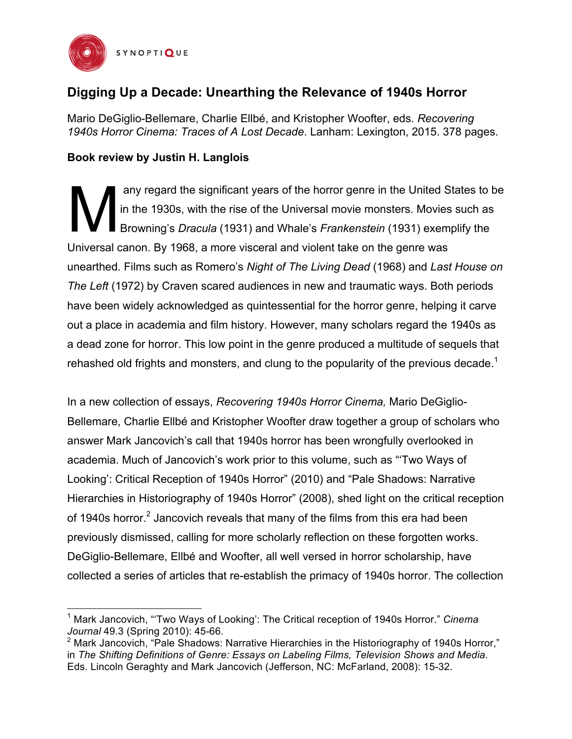

## **Digging Up a Decade: Unearthing the Relevance of 1940s Horror**

Mario DeGiglio-Bellemare, Charlie Ellbé, and Kristopher Woofter, eds. *Recovering 1940s Horror Cinema: Traces of A Lost Decade*. Lanham: Lexington, 2015. 378 pages.

## **Book review by Justin H. Langlois**

any regard the significant years of the horror genre in the United States to be in the 1930s, with the rise of the Universal movie monsters. Movies such as Browning's *Dracula* (1931) and Whale's *Frankenstein* (1931) exemplify the Universal canon. By 1968, a more visceral and violent take on the genre was unearthed. Films such as Romero's *Night of The Living Dead* (1968) and *Last House on The Left* (1972) by Craven scared audiences in new and traumatic ways. Both periods have been widely acknowledged as quintessential for the horror genre, helping it carve out a place in academia and film history. However, many scholars regard the 1940s as a dead zone for horror. This low point in the genre produced a multitude of sequels that rehashed old frights and monsters, and clung to the popularity of the previous decade.<sup>1</sup> M

In a new collection of essays, *Recovering 1940s Horror Cinema,* Mario DeGiglio-Bellemare, Charlie Ellbé and Kristopher Woofter draw together a group of scholars who answer Mark Jancovich's call that 1940s horror has been wrongfully overlooked in academia. Much of Jancovich's work prior to this volume, such as "'Two Ways of Looking': Critical Reception of 1940s Horror" (2010) and "Pale Shadows: Narrative Hierarchies in Historiography of 1940s Horror" (2008), shed light on the critical reception of 1940s horror.<sup>2</sup> Jancovich reveals that many of the films from this era had been previously dismissed, calling for more scholarly reflection on these forgotten works. DeGiglio-Bellemare, Ellbé and Woofter, all well versed in horror scholarship, have collected a series of articles that re-establish the primacy of 1940s horror. The collection

 <sup>1</sup> Mark Jancovich, "'Two Ways of Looking': The Critical reception of 1940s Horror." *Cinema Journal* 49.3 (Spring 2010): 45-66.

 $2$  Mark Jancovich, "Pale Shadows: Narrative Hierarchies in the Historiography of 1940s Horror," in *The Shifting Definitions of Genre: Essays on Labeling Films, Television Shows and Media.* Eds. Lincoln Geraghty and Mark Jancovich (Jefferson, NC: McFarland, 2008): 15-32.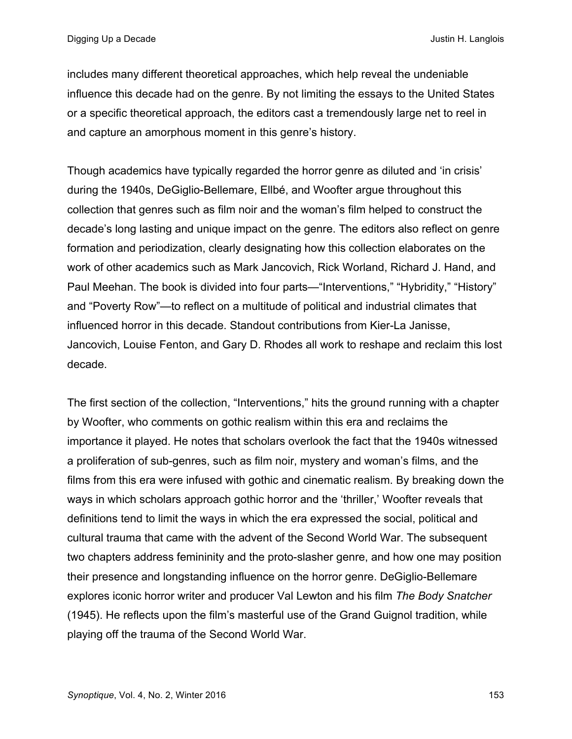includes many different theoretical approaches, which help reveal the undeniable influence this decade had on the genre. By not limiting the essays to the United States or a specific theoretical approach, the editors cast a tremendously large net to reel in and capture an amorphous moment in this genre's history.

Though academics have typically regarded the horror genre as diluted and 'in crisis' during the 1940s, DeGiglio-Bellemare, Ellbé, and Woofter argue throughout this collection that genres such as film noir and the woman's film helped to construct the decade's long lasting and unique impact on the genre. The editors also reflect on genre formation and periodization, clearly designating how this collection elaborates on the work of other academics such as Mark Jancovich, Rick Worland, Richard J. Hand, and Paul Meehan. The book is divided into four parts—"Interventions," "Hybridity," "History" and "Poverty Row"—to reflect on a multitude of political and industrial climates that influenced horror in this decade. Standout contributions from Kier-La Janisse, Jancovich, Louise Fenton, and Gary D. Rhodes all work to reshape and reclaim this lost decade.

The first section of the collection, "Interventions," hits the ground running with a chapter by Woofter, who comments on gothic realism within this era and reclaims the importance it played. He notes that scholars overlook the fact that the 1940s witnessed a proliferation of sub-genres, such as film noir, mystery and woman's films, and the films from this era were infused with gothic and cinematic realism. By breaking down the ways in which scholars approach gothic horror and the 'thriller,' Woofter reveals that definitions tend to limit the ways in which the era expressed the social, political and cultural trauma that came with the advent of the Second World War. The subsequent two chapters address femininity and the proto-slasher genre, and how one may position their presence and longstanding influence on the horror genre. DeGiglio-Bellemare explores iconic horror writer and producer Val Lewton and his film *The Body Snatcher* (1945). He reflects upon the film's masterful use of the Grand Guignol tradition, while playing off the trauma of the Second World War.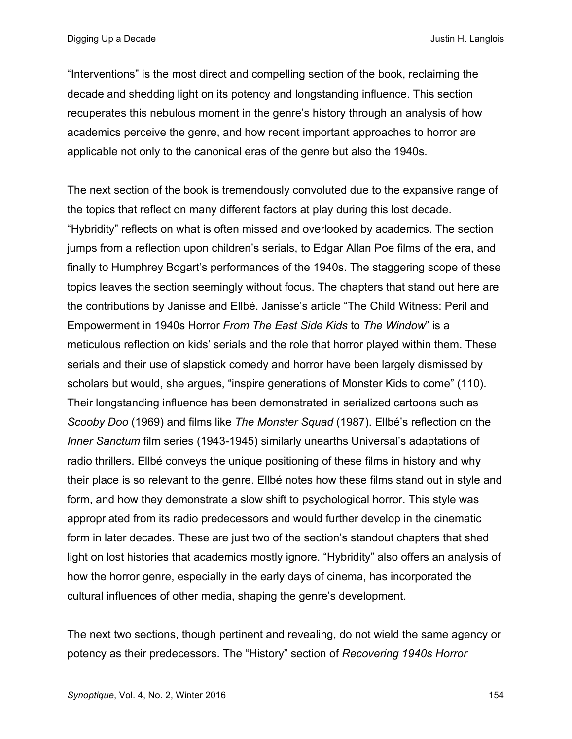"Interventions" is the most direct and compelling section of the book, reclaiming the decade and shedding light on its potency and longstanding influence. This section recuperates this nebulous moment in the genre's history through an analysis of how academics perceive the genre, and how recent important approaches to horror are applicable not only to the canonical eras of the genre but also the 1940s.

The next section of the book is tremendously convoluted due to the expansive range of the topics that reflect on many different factors at play during this lost decade. "Hybridity" reflects on what is often missed and overlooked by academics. The section jumps from a reflection upon children's serials, to Edgar Allan Poe films of the era, and finally to Humphrey Bogart's performances of the 1940s. The staggering scope of these topics leaves the section seemingly without focus. The chapters that stand out here are the contributions by Janisse and Ellbé. Janisse's article "The Child Witness: Peril and Empowerment in 1940s Horror *From The East Side Kids* to *The Window*" is a meticulous reflection on kids' serials and the role that horror played within them. These serials and their use of slapstick comedy and horror have been largely dismissed by scholars but would, she argues, "inspire generations of Monster Kids to come" (110). Their longstanding influence has been demonstrated in serialized cartoons such as *Scooby Doo* (1969) and films like *The Monster Squad* (1987). Ellbé's reflection on the *Inner Sanctum* film series (1943-1945) similarly unearths Universal's adaptations of radio thrillers. Ellbé conveys the unique positioning of these films in history and why their place is so relevant to the genre. Ellbé notes how these films stand out in style and form, and how they demonstrate a slow shift to psychological horror. This style was appropriated from its radio predecessors and would further develop in the cinematic form in later decades. These are just two of the section's standout chapters that shed light on lost histories that academics mostly ignore. "Hybridity" also offers an analysis of how the horror genre, especially in the early days of cinema, has incorporated the cultural influences of other media, shaping the genre's development.

The next two sections, though pertinent and revealing, do not wield the same agency or potency as their predecessors. The "History" section of *Recovering 1940s Horror*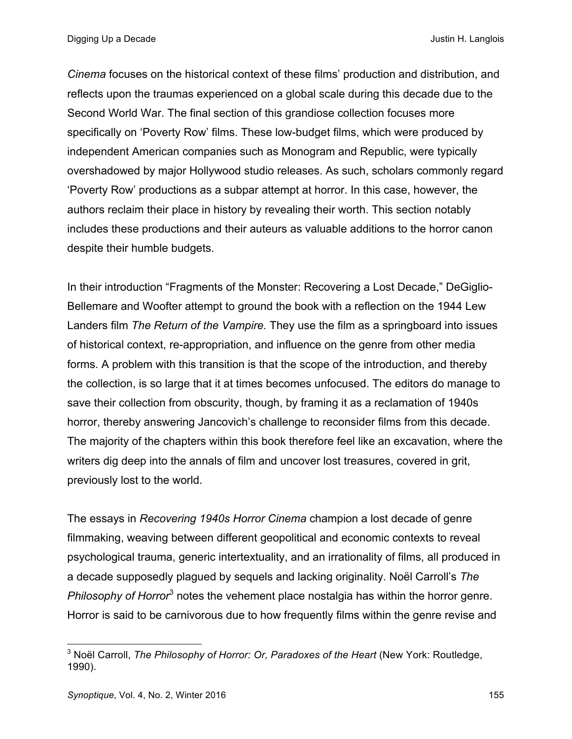*Cinema* focuses on the historical context of these films' production and distribution, and reflects upon the traumas experienced on a global scale during this decade due to the Second World War. The final section of this grandiose collection focuses more specifically on 'Poverty Row' films. These low-budget films, which were produced by independent American companies such as Monogram and Republic, were typically overshadowed by major Hollywood studio releases. As such, scholars commonly regard 'Poverty Row' productions as a subpar attempt at horror. In this case, however, the authors reclaim their place in history by revealing their worth. This section notably includes these productions and their auteurs as valuable additions to the horror canon despite their humble budgets.

In their introduction "Fragments of the Monster: Recovering a Lost Decade," DeGiglio-Bellemare and Woofter attempt to ground the book with a reflection on the 1944 Lew Landers film *The Return of the Vampire.* They use the film as a springboard into issues of historical context, re-appropriation, and influence on the genre from other media forms. A problem with this transition is that the scope of the introduction, and thereby the collection, is so large that it at times becomes unfocused. The editors do manage to save their collection from obscurity, though, by framing it as a reclamation of 1940s horror, thereby answering Jancovich's challenge to reconsider films from this decade. The majority of the chapters within this book therefore feel like an excavation, where the writers dig deep into the annals of film and uncover lost treasures, covered in grit, previously lost to the world.

The essays in *Recovering 1940s Horror Cinema* champion a lost decade of genre filmmaking, weaving between different geopolitical and economic contexts to reveal psychological trauma, generic intertextuality, and an irrationality of films, all produced in a decade supposedly plagued by sequels and lacking originality. Noël Carroll's *The Philosophy of Horror*<sup>3</sup> notes the vehement place nostalgia has within the horror genre. Horror is said to be carnivorous due to how frequently films within the genre revise and

 <sup>3</sup> Noël Carroll, *The Philosophy of Horror: Or, Paradoxes of the Heart* (New York: Routledge, 1990).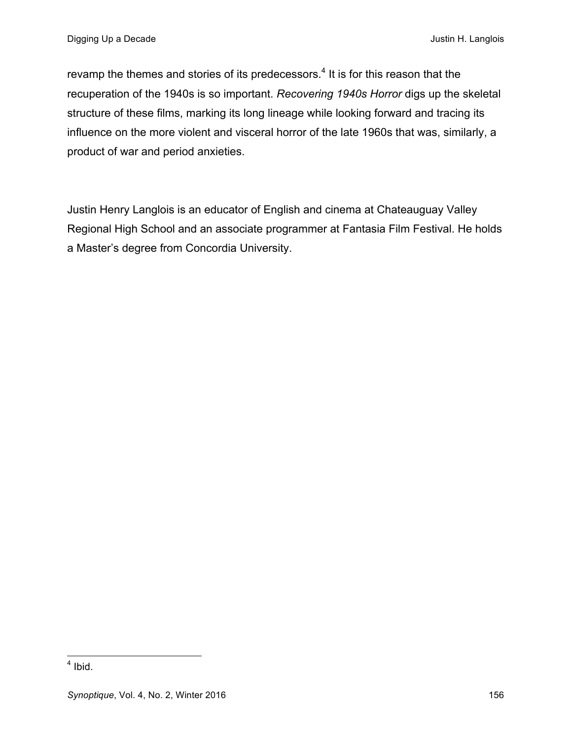revamp the themes and stories of its predecessors. $4$  It is for this reason that the recuperation of the 1940s is so important. *Recovering 1940s Horror* digs up the skeletal structure of these films, marking its long lineage while looking forward and tracing its influence on the more violent and visceral horror of the late 1960s that was, similarly, a product of war and period anxieties.

Justin Henry Langlois is an educator of English and cinema at Chateauguay Valley Regional High School and an associate programmer at Fantasia Film Festival. He holds a Master's degree from Concordia University.

 $<sup>4</sup>$  Ibid.</sup>